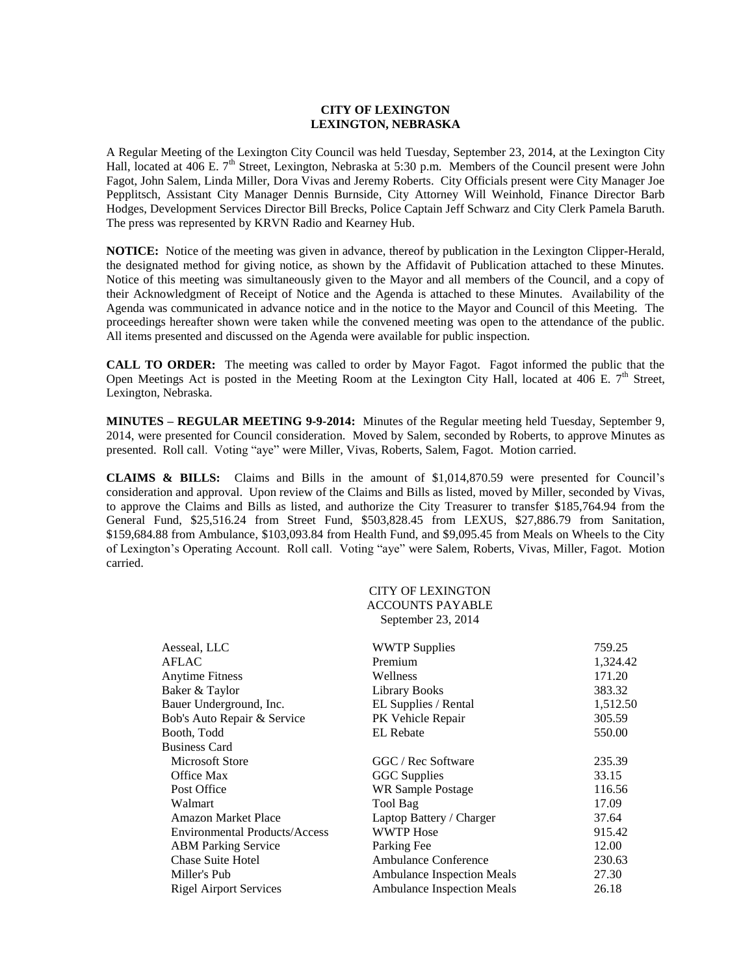## **CITY OF LEXINGTON LEXINGTON, NEBRASKA**

A Regular Meeting of the Lexington City Council was held Tuesday, September 23, 2014, at the Lexington City Hall, located at 406 E.  $7<sup>th</sup>$  Street, Lexington, Nebraska at 5:30 p.m. Members of the Council present were John Fagot, John Salem, Linda Miller, Dora Vivas and Jeremy Roberts. City Officials present were City Manager Joe Pepplitsch, Assistant City Manager Dennis Burnside, City Attorney Will Weinhold, Finance Director Barb Hodges, Development Services Director Bill Brecks, Police Captain Jeff Schwarz and City Clerk Pamela Baruth. The press was represented by KRVN Radio and Kearney Hub.

**NOTICE:** Notice of the meeting was given in advance, thereof by publication in the Lexington Clipper-Herald, the designated method for giving notice, as shown by the Affidavit of Publication attached to these Minutes. Notice of this meeting was simultaneously given to the Mayor and all members of the Council, and a copy of their Acknowledgment of Receipt of Notice and the Agenda is attached to these Minutes. Availability of the Agenda was communicated in advance notice and in the notice to the Mayor and Council of this Meeting. The proceedings hereafter shown were taken while the convened meeting was open to the attendance of the public. All items presented and discussed on the Agenda were available for public inspection.

**CALL TO ORDER:** The meeting was called to order by Mayor Fagot. Fagot informed the public that the Open Meetings Act is posted in the Meeting Room at the Lexington City Hall, located at 406 E.  $7<sup>th</sup>$  Street, Lexington, Nebraska.

**MINUTES – REGULAR MEETING 9-9-2014:** Minutes of the Regular meeting held Tuesday, September 9, 2014, were presented for Council consideration. Moved by Salem, seconded by Roberts, to approve Minutes as presented. Roll call. Voting "aye" were Miller, Vivas, Roberts, Salem, Fagot. Motion carried.

**CLAIMS & BILLS:** Claims and Bills in the amount of \$1,014,870.59 were presented for Council's consideration and approval. Upon review of the Claims and Bills as listed, moved by Miller, seconded by Vivas, to approve the Claims and Bills as listed, and authorize the City Treasurer to transfer \$185,764.94 from the General Fund, \$25,516.24 from Street Fund, \$503,828.45 from LEXUS, \$27,886.79 from Sanitation, \$159,684.88 from Ambulance, \$103,093.84 from Health Fund, and \$9,095.45 from Meals on Wheels to the City of Lexington's Operating Account. Roll call. Voting "aye" were Salem, Roberts, Vivas, Miller, Fagot. Motion carried.

| CITY OF LEXINGTON       |
|-------------------------|
| <b>ACCOUNTS PAYABLE</b> |
| September 23, 2014      |

| Aesseal, LLC                         | <b>WWTP Supplies</b>              | 759.25   |
|--------------------------------------|-----------------------------------|----------|
| <b>AFLAC</b>                         | Premium                           | 1,324.42 |
| <b>Anytime Fitness</b>               | Wellness                          | 171.20   |
| Baker & Taylor                       | <b>Library Books</b>              | 383.32   |
| Bauer Underground, Inc.              | EL Supplies / Rental              | 1,512.50 |
| Bob's Auto Repair & Service          | PK Vehicle Repair                 | 305.59   |
| Booth, Todd                          | <b>EL</b> Rebate                  | 550.00   |
| <b>Business Card</b>                 |                                   |          |
| Microsoft Store                      | GGC / Rec Software                | 235.39   |
| Office Max                           | <b>GGC</b> Supplies               | 33.15    |
| Post Office                          | WR Sample Postage                 | 116.56   |
| Walmart                              | Tool Bag                          | 17.09    |
| <b>Amazon Market Place</b>           | Laptop Battery / Charger          | 37.64    |
| <b>Environmental Products/Access</b> | <b>WWTP Hose</b>                  | 915.42   |
| <b>ABM Parking Service</b>           | Parking Fee                       | 12.00    |
| <b>Chase Suite Hotel</b>             | Ambulance Conference              | 230.63   |
| Miller's Pub                         | <b>Ambulance Inspection Meals</b> | 27.30    |
| <b>Rigel Airport Services</b>        | <b>Ambulance Inspection Meals</b> | 26.18    |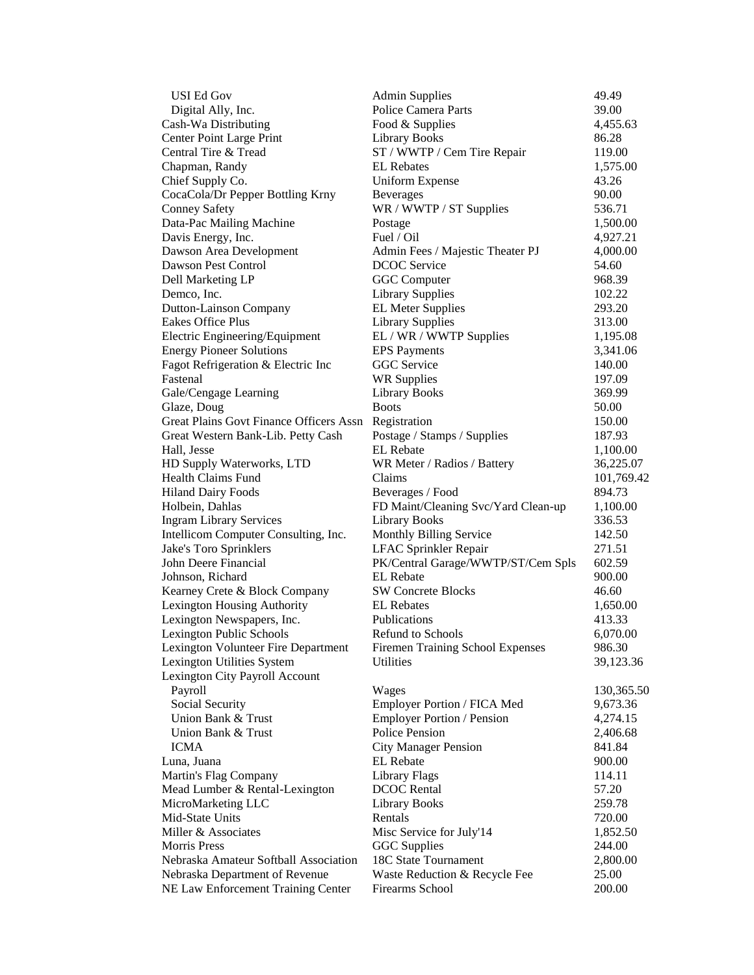| <b>USI Ed Gov</b>                              | <b>Admin Supplies</b>               | 49.49      |
|------------------------------------------------|-------------------------------------|------------|
| Digital Ally, Inc.                             | Police Camera Parts                 | 39.00      |
| Cash-Wa Distributing                           | Food & Supplies                     | 4,455.63   |
| <b>Center Point Large Print</b>                | <b>Library Books</b>                | 86.28      |
| Central Tire & Tread                           | ST / WWTP / Cem Tire Repair         | 119.00     |
| Chapman, Randy                                 | <b>EL</b> Rebates                   | 1,575.00   |
| Chief Supply Co.                               | <b>Uniform Expense</b>              | 43.26      |
| CocaCola/Dr Pepper Bottling Krny               | <b>Beverages</b>                    | 90.00      |
| <b>Conney Safety</b>                           | WR / WWTP / ST Supplies             | 536.71     |
| Data-Pac Mailing Machine                       | Postage                             | 1,500.00   |
| Davis Energy, Inc.                             | Fuel / Oil                          | 4,927.21   |
| Dawson Area Development                        | Admin Fees / Majestic Theater PJ    | 4,000.00   |
| Dawson Pest Control                            | <b>DCOC</b> Service                 | 54.60      |
| Dell Marketing LP                              | <b>GGC</b> Computer                 | 968.39     |
| Demco, Inc.                                    | <b>Library Supplies</b>             | 102.22     |
| <b>Dutton-Lainson Company</b>                  | <b>EL Meter Supplies</b>            | 293.20     |
| Eakes Office Plus                              | <b>Library Supplies</b>             | 313.00     |
| Electric Engineering/Equipment                 | EL / WR / WWTP Supplies             | 1,195.08   |
| <b>Energy Pioneer Solutions</b>                | <b>EPS</b> Payments                 | 3,341.06   |
| Fagot Refrigeration & Electric Inc             | GGC Service                         | 140.00     |
| Fastenal                                       | <b>WR Supplies</b>                  | 197.09     |
| Gale/Cengage Learning                          | Library Books                       | 369.99     |
| Glaze, Doug                                    | <b>Boots</b>                        | 50.00      |
| <b>Great Plains Govt Finance Officers Assn</b> | Registration                        | 150.00     |
| Great Western Bank-Lib. Petty Cash             | Postage / Stamps / Supplies         | 187.93     |
| Hall, Jesse                                    | <b>EL</b> Rebate                    | 1,100.00   |
| HD Supply Waterworks, LTD                      | WR Meter / Radios / Battery         | 36,225.07  |
| <b>Health Claims Fund</b>                      | Claims                              | 101,769.42 |
| <b>Hiland Dairy Foods</b>                      | Beverages / Food                    | 894.73     |
| Holbein, Dahlas                                | FD Maint/Cleaning Svc/Yard Clean-up | 1,100.00   |
| <b>Ingram Library Services</b>                 | <b>Library Books</b>                | 336.53     |
| Intellicom Computer Consulting, Inc.           | Monthly Billing Service             | 142.50     |
| Jake's Toro Sprinklers                         | LFAC Sprinkler Repair               | 271.51     |
| John Deere Financial                           | PK/Central Garage/WWTP/ST/Cem Spls  | 602.59     |
| Johnson, Richard                               | <b>EL</b> Rebate                    | 900.00     |
| Kearney Crete & Block Company                  | <b>SW Concrete Blocks</b>           | 46.60      |
| Lexington Housing Authority                    | <b>EL Rebates</b>                   | 1,650.00   |
| Lexington Newspapers, Inc.                     | Publications                        | 413.33     |
| Lexington Public Schools                       | <b>Refund to Schools</b>            | 6,070.00   |
| Lexington Volunteer Fire Department            | Firemen Training School Expenses    | 986.30     |
| Lexington Utilities System                     | <b>Utilities</b>                    | 39,123.36  |
| Lexington City Payroll Account                 |                                     |            |
| Payroll                                        | Wages                               | 130,365.50 |
| Social Security                                | Employer Portion / FICA Med         | 9,673.36   |
| Union Bank & Trust                             | <b>Employer Portion / Pension</b>   | 4,274.15   |
| Union Bank & Trust                             | Police Pension                      | 2,406.68   |
| <b>ICMA</b>                                    | <b>City Manager Pension</b>         | 841.84     |
| Luna, Juana                                    | <b>EL</b> Rebate                    | 900.00     |
| Martin's Flag Company                          | Library Flags                       | 114.11     |
| Mead Lumber & Rental-Lexington                 | <b>DCOC</b> Rental                  | 57.20      |
| MicroMarketing LLC                             | Library Books                       | 259.78     |
| Mid-State Units                                | Rentals                             | 720.00     |
| Miller & Associates                            | Misc Service for July'14            | 1,852.50   |
| <b>Morris Press</b>                            | <b>GGC</b> Supplies                 | 244.00     |
| Nebraska Amateur Softball Association          | 18C State Tournament                | 2,800.00   |
| Nebraska Department of Revenue                 | Waste Reduction & Recycle Fee       | 25.00      |
| NE Law Enforcement Training Center             | Firearms School                     | 200.00     |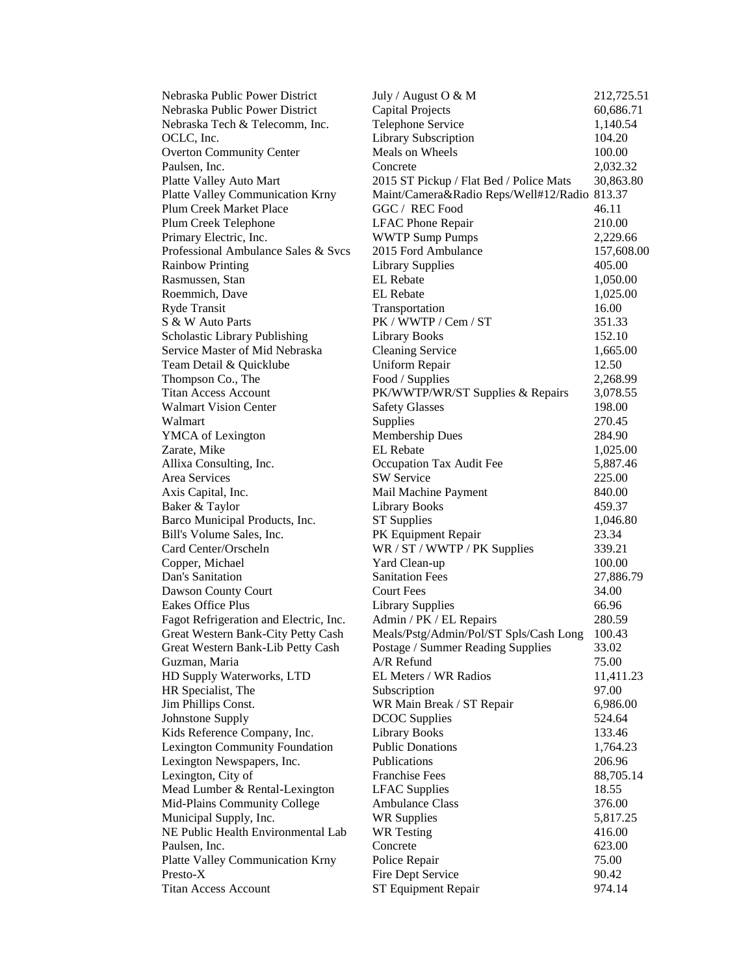| Nebraska Public Power District         | July / August O $& M$                   | 212,725.51 |
|----------------------------------------|-----------------------------------------|------------|
| Nebraska Public Power District         | <b>Capital Projects</b>                 | 60,686.71  |
| Nebraska Tech & Telecomm, Inc.         | Telephone Service                       | 1,140.54   |
| OCLC, Inc.                             | <b>Library Subscription</b>             | 104.20     |
| <b>Overton Community Center</b>        | Meals on Wheels                         | 100.00     |
| Paulsen, Inc.                          | Concrete                                | 2,032.32   |
| Platte Valley Auto Mart                | 2015 ST Pickup / Flat Bed / Police Mats | 30,863.80  |
| Platte Valley Communication Krny       | Maint/Camera&Radio Reps/Well#12/Radio   | 813.37     |
| <b>Plum Creek Market Place</b>         | GGC / REC Food                          | 46.11      |
| Plum Creek Telephone                   | <b>LFAC Phone Repair</b>                | 210.00     |
| Primary Electric, Inc.                 | <b>WWTP Sump Pumps</b>                  | 2,229.66   |
| Professional Ambulance Sales & Svcs    | 2015 Ford Ambulance                     | 157,608.00 |
| <b>Rainbow Printing</b>                | <b>Library Supplies</b>                 | 405.00     |
| Rasmussen, Stan                        | <b>EL</b> Rebate                        | 1,050.00   |
| Roemmich, Dave                         | <b>EL</b> Rebate                        | 1,025.00   |
| Ryde Transit                           | Transportation                          | 16.00      |
| S & W Auto Parts                       | PK / WWTP / Cem / ST                    | 351.33     |
| Scholastic Library Publishing          | <b>Library Books</b>                    | 152.10     |
| Service Master of Mid Nebraska         | <b>Cleaning Service</b>                 | 1,665.00   |
| Team Detail & Quicklube                | Uniform Repair                          | 12.50      |
| Thompson Co., The                      | Food / Supplies                         | 2,268.99   |
| <b>Titan Access Account</b>            | PK/WWTP/WR/ST Supplies & Repairs        | 3,078.55   |
| <b>Walmart Vision Center</b>           | <b>Safety Glasses</b>                   | 198.00     |
| Walmart                                | Supplies                                | 270.45     |
| YMCA of Lexington                      | Membership Dues                         | 284.90     |
| Zarate, Mike                           | <b>EL</b> Rebate                        | 1,025.00   |
| Allixa Consulting, Inc.                | Occupation Tax Audit Fee                | 5,887.46   |
| Area Services                          | <b>SW Service</b>                       | 225.00     |
| Axis Capital, Inc.                     | Mail Machine Payment                    | 840.00     |
| Baker & Taylor                         | <b>Library Books</b>                    | 459.37     |
| Barco Municipal Products, Inc.         | <b>ST</b> Supplies                      | 1,046.80   |
| Bill's Volume Sales, Inc.              | PK Equipment Repair                     | 23.34      |
| Card Center/Orscheln                   | WR / ST / WWTP / PK Supplies            | 339.21     |
| Copper, Michael                        | Yard Clean-up                           | 100.00     |
| Dan's Sanitation                       | <b>Sanitation Fees</b>                  | 27,886.79  |
| Dawson County Court                    | <b>Court Fees</b>                       | 34.00      |
| Eakes Office Plus                      | <b>Library Supplies</b>                 | 66.96      |
| Fagot Refrigeration and Electric, Inc. | Admin / PK / EL Repairs                 | 280.59     |
| Great Western Bank-City Petty Cash     | Meals/Pstg/Admin/Pol/ST Spls/Cash Long  | 100.43     |
| Great Western Bank-Lib Petty Cash      | Postage / Summer Reading Supplies       | 33.02      |
| Guzman, Maria                          | $A/R$ Refund                            | 75.00      |
| HD Supply Waterworks, LTD              | EL Meters / WR Radios                   | 11,411.23  |
| HR Specialist, The                     | Subscription                            | 97.00      |
| Jim Phillips Const.                    | WR Main Break / ST Repair               | 6,986.00   |
| Johnstone Supply                       | <b>DCOC</b> Supplies                    | 524.64     |
| Kids Reference Company, Inc.           | <b>Library Books</b>                    | 133.46     |
| Lexington Community Foundation         | <b>Public Donations</b>                 | 1,764.23   |
| Lexington Newspapers, Inc.             | Publications                            | 206.96     |
| Lexington, City of                     | <b>Franchise Fees</b>                   | 88,705.14  |
| Mead Lumber & Rental-Lexington         | <b>LFAC</b> Supplies                    | 18.55      |
| Mid-Plains Community College           | <b>Ambulance Class</b>                  | 376.00     |
| Municipal Supply, Inc.                 | <b>WR Supplies</b>                      | 5,817.25   |
| NE Public Health Environmental Lab     | <b>WR</b> Testing                       | 416.00     |
| Paulsen, Inc.                          | Concrete                                | 623.00     |
| Platte Valley Communication Krny       | Police Repair                           | 75.00      |
| Presto-X                               | Fire Dept Service                       | 90.42      |
| <b>Titan Access Account</b>            | ST Equipment Repair                     | 974.14     |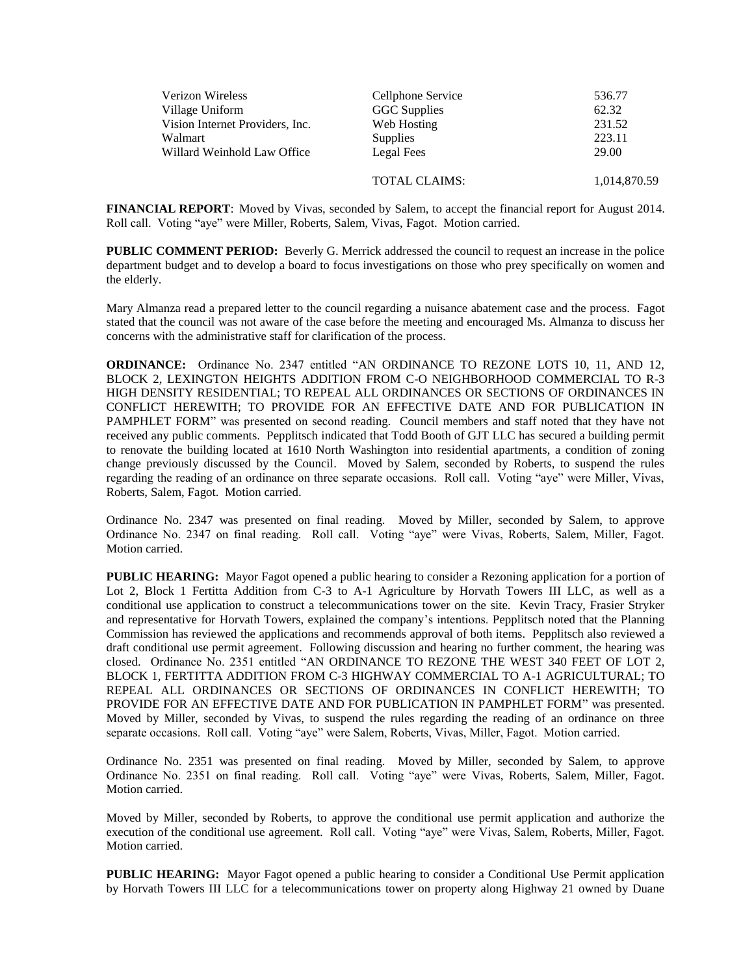| Verizon Wireless                | Cellphone Service    | 536.77       |
|---------------------------------|----------------------|--------------|
| Village Uniform                 | GGC Supplies         | 62.32        |
| Vision Internet Providers, Inc. | Web Hosting          | 231.52       |
| Walmart                         | <b>Supplies</b>      | 223.11       |
| Willard Weinhold Law Office     | Legal Fees           | 29.00        |
|                                 | <b>TOTAL CLAIMS:</b> | 1,014,870.59 |

**FINANCIAL REPORT**: Moved by Vivas, seconded by Salem, to accept the financial report for August 2014. Roll call. Voting "aye" were Miller, Roberts, Salem, Vivas, Fagot. Motion carried.

**PUBLIC COMMENT PERIOD:** Beverly G. Merrick addressed the council to request an increase in the police department budget and to develop a board to focus investigations on those who prey specifically on women and the elderly.

Mary Almanza read a prepared letter to the council regarding a nuisance abatement case and the process. Fagot stated that the council was not aware of the case before the meeting and encouraged Ms. Almanza to discuss her concerns with the administrative staff for clarification of the process.

**ORDINANCE:** Ordinance No. 2347 entitled "AN ORDINANCE TO REZONE LOTS 10, 11, AND 12, BLOCK 2, LEXINGTON HEIGHTS ADDITION FROM C-O NEIGHBORHOOD COMMERCIAL TO R-3 HIGH DENSITY RESIDENTIAL; TO REPEAL ALL ORDINANCES OR SECTIONS OF ORDINANCES IN CONFLICT HEREWITH; TO PROVIDE FOR AN EFFECTIVE DATE AND FOR PUBLICATION IN PAMPHLET FORM" was presented on second reading. Council members and staff noted that they have not received any public comments. Pepplitsch indicated that Todd Booth of GJT LLC has secured a building permit to renovate the building located at 1610 North Washington into residential apartments, a condition of zoning change previously discussed by the Council. Moved by Salem, seconded by Roberts, to suspend the rules regarding the reading of an ordinance on three separate occasions. Roll call. Voting "aye" were Miller, Vivas, Roberts, Salem, Fagot. Motion carried.

Ordinance No. 2347 was presented on final reading. Moved by Miller, seconded by Salem, to approve Ordinance No. 2347 on final reading. Roll call. Voting "aye" were Vivas, Roberts, Salem, Miller, Fagot. Motion carried.

**PUBLIC HEARING:** Mayor Fagot opened a public hearing to consider a Rezoning application for a portion of Lot 2, Block 1 Fertitta Addition from C-3 to A-1 Agriculture by Horvath Towers III LLC, as well as a conditional use application to construct a telecommunications tower on the site. Kevin Tracy, Frasier Stryker and representative for Horvath Towers, explained the company's intentions. Pepplitsch noted that the Planning Commission has reviewed the applications and recommends approval of both items. Pepplitsch also reviewed a draft conditional use permit agreement. Following discussion and hearing no further comment, the hearing was closed. Ordinance No. 2351 entitled "AN ORDINANCE TO REZONE THE WEST 340 FEET OF LOT 2, BLOCK 1, FERTITTA ADDITION FROM C-3 HIGHWAY COMMERCIAL TO A-1 AGRICULTURAL; TO REPEAL ALL ORDINANCES OR SECTIONS OF ORDINANCES IN CONFLICT HEREWITH; TO PROVIDE FOR AN EFFECTIVE DATE AND FOR PUBLICATION IN PAMPHLET FORM" was presented. Moved by Miller, seconded by Vivas, to suspend the rules regarding the reading of an ordinance on three separate occasions. Roll call. Voting "aye" were Salem, Roberts, Vivas, Miller, Fagot. Motion carried.

Ordinance No. 2351 was presented on final reading. Moved by Miller, seconded by Salem, to approve Ordinance No. 2351 on final reading. Roll call. Voting "aye" were Vivas, Roberts, Salem, Miller, Fagot. Motion carried.

Moved by Miller, seconded by Roberts, to approve the conditional use permit application and authorize the execution of the conditional use agreement. Roll call. Voting "aye" were Vivas, Salem, Roberts, Miller, Fagot. Motion carried.

**PUBLIC HEARING:** Mayor Fagot opened a public hearing to consider a Conditional Use Permit application by Horvath Towers III LLC for a telecommunications tower on property along Highway 21 owned by Duane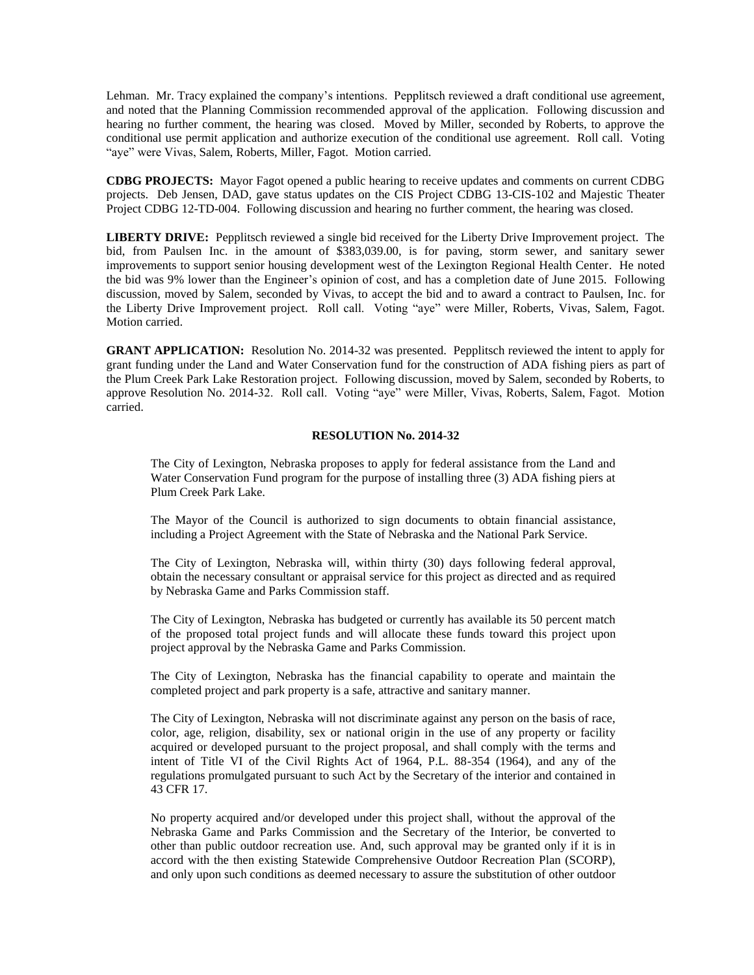Lehman. Mr. Tracy explained the company's intentions. Pepplitsch reviewed a draft conditional use agreement, and noted that the Planning Commission recommended approval of the application. Following discussion and hearing no further comment, the hearing was closed. Moved by Miller, seconded by Roberts, to approve the conditional use permit application and authorize execution of the conditional use agreement. Roll call. Voting "aye" were Vivas, Salem, Roberts, Miller, Fagot. Motion carried.

**CDBG PROJECTS:** Mayor Fagot opened a public hearing to receive updates and comments on current CDBG projects. Deb Jensen, DAD, gave status updates on the CIS Project CDBG 13-CIS-102 and Majestic Theater Project CDBG 12-TD-004. Following discussion and hearing no further comment, the hearing was closed.

**LIBERTY DRIVE:** Pepplitsch reviewed a single bid received for the Liberty Drive Improvement project. The bid, from Paulsen Inc. in the amount of \$383,039.00, is for paving, storm sewer, and sanitary sewer improvements to support senior housing development west of the Lexington Regional Health Center. He noted the bid was 9% lower than the Engineer's opinion of cost, and has a completion date of June 2015. Following discussion, moved by Salem, seconded by Vivas, to accept the bid and to award a contract to Paulsen, Inc. for the Liberty Drive Improvement project. Roll call. Voting "aye" were Miller, Roberts, Vivas, Salem, Fagot. Motion carried.

**GRANT APPLICATION:** Resolution No. 2014-32 was presented. Pepplitsch reviewed the intent to apply for grant funding under the Land and Water Conservation fund for the construction of ADA fishing piers as part of the Plum Creek Park Lake Restoration project. Following discussion, moved by Salem, seconded by Roberts, to approve Resolution No. 2014-32. Roll call. Voting "aye" were Miller, Vivas, Roberts, Salem, Fagot. Motion carried.

## **RESOLUTION No. 2014-32**

The City of Lexington, Nebraska proposes to apply for federal assistance from the Land and Water Conservation Fund program for the purpose of installing three (3) ADA fishing piers at Plum Creek Park Lake.

The Mayor of the Council is authorized to sign documents to obtain financial assistance, including a Project Agreement with the State of Nebraska and the National Park Service.

The City of Lexington, Nebraska will, within thirty (30) days following federal approval, obtain the necessary consultant or appraisal service for this project as directed and as required by Nebraska Game and Parks Commission staff.

The City of Lexington, Nebraska has budgeted or currently has available its 50 percent match of the proposed total project funds and will allocate these funds toward this project upon project approval by the Nebraska Game and Parks Commission.

The City of Lexington, Nebraska has the financial capability to operate and maintain the completed project and park property is a safe, attractive and sanitary manner.

The City of Lexington, Nebraska will not discriminate against any person on the basis of race, color, age, religion, disability, sex or national origin in the use of any property or facility acquired or developed pursuant to the project proposal, and shall comply with the terms and intent of Title VI of the Civil Rights Act of 1964, P.L. 88-354 (1964), and any of the regulations promulgated pursuant to such Act by the Secretary of the interior and contained in 43 CFR 17.

No property acquired and/or developed under this project shall, without the approval of the Nebraska Game and Parks Commission and the Secretary of the Interior, be converted to other than public outdoor recreation use. And, such approval may be granted only if it is in accord with the then existing Statewide Comprehensive Outdoor Recreation Plan (SCORP), and only upon such conditions as deemed necessary to assure the substitution of other outdoor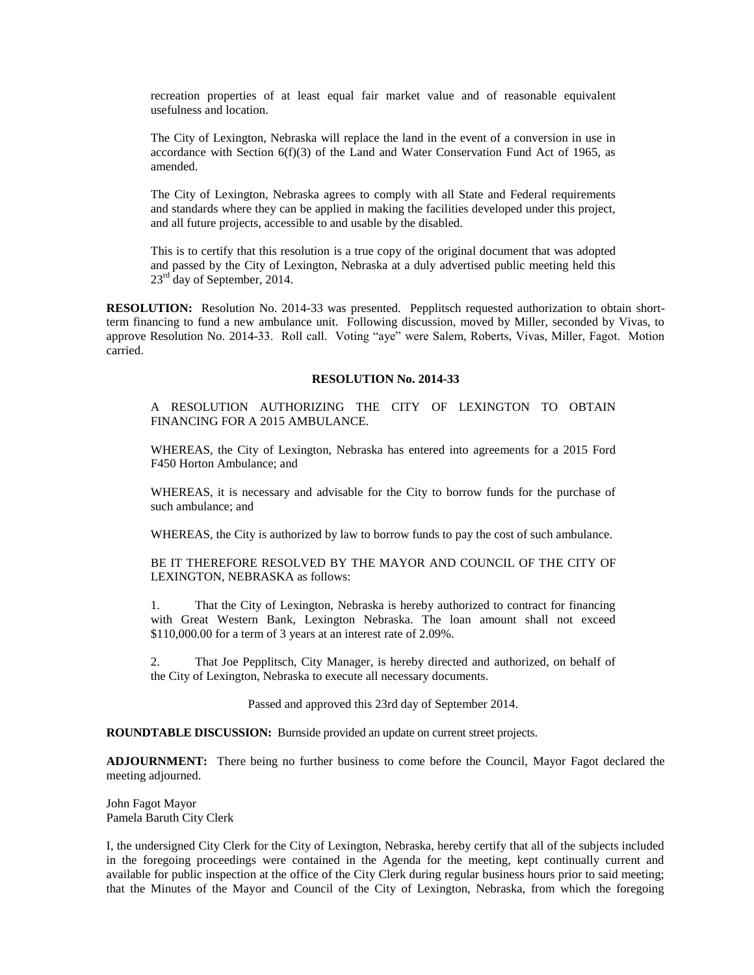recreation properties of at least equal fair market value and of reasonable equivalent usefulness and location.

The City of Lexington, Nebraska will replace the land in the event of a conversion in use in accordance with Section  $6(f)(3)$  of the Land and Water Conservation Fund Act of 1965, as amended.

The City of Lexington, Nebraska agrees to comply with all State and Federal requirements and standards where they can be applied in making the facilities developed under this project, and all future projects, accessible to and usable by the disabled.

This is to certify that this resolution is a true copy of the original document that was adopted and passed by the City of Lexington, Nebraska at a duly advertised public meeting held this 23<sup>rd</sup> day of September, 2014.

**RESOLUTION:** Resolution No. 2014-33 was presented. Pepplitsch requested authorization to obtain shortterm financing to fund a new ambulance unit. Following discussion, moved by Miller, seconded by Vivas, to approve Resolution No. 2014-33. Roll call. Voting "aye" were Salem, Roberts, Vivas, Miller, Fagot. Motion carried.

## **RESOLUTION No. 2014-33**

A RESOLUTION AUTHORIZING THE CITY OF LEXINGTON TO OBTAIN FINANCING FOR A 2015 AMBULANCE.

WHEREAS, the City of Lexington, Nebraska has entered into agreements for a 2015 Ford F450 Horton Ambulance; and

WHEREAS, it is necessary and advisable for the City to borrow funds for the purchase of such ambulance; and

WHEREAS, the City is authorized by law to borrow funds to pay the cost of such ambulance.

BE IT THEREFORE RESOLVED BY THE MAYOR AND COUNCIL OF THE CITY OF LEXINGTON, NEBRASKA as follows:

1. That the City of Lexington, Nebraska is hereby authorized to contract for financing with Great Western Bank, Lexington Nebraska. The loan amount shall not exceed \$110,000.00 for a term of 3 years at an interest rate of 2.09%.

2. That Joe Pepplitsch, City Manager, is hereby directed and authorized, on behalf of the City of Lexington, Nebraska to execute all necessary documents.

Passed and approved this 23rd day of September 2014.

**ROUNDTABLE DISCUSSION:** Burnside provided an update on current street projects.

**ADJOURNMENT:** There being no further business to come before the Council, Mayor Fagot declared the meeting adjourned.

John Fagot Mayor Pamela Baruth City Clerk

I, the undersigned City Clerk for the City of Lexington, Nebraska, hereby certify that all of the subjects included in the foregoing proceedings were contained in the Agenda for the meeting, kept continually current and available for public inspection at the office of the City Clerk during regular business hours prior to said meeting; that the Minutes of the Mayor and Council of the City of Lexington, Nebraska, from which the foregoing